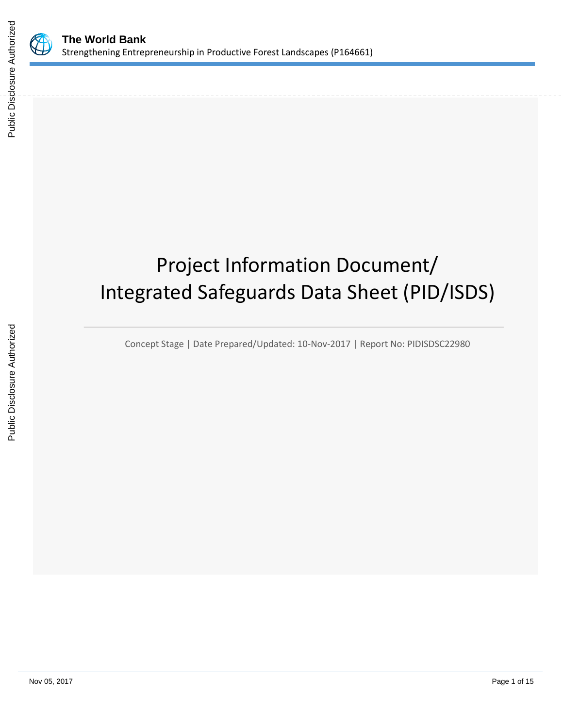



# Project Information Document/ Integrated Safeguards Data Sheet (PID/ISDS)

Concept Stage | Date Prepared/Updated: 10-Nov-2017 | Report No: PIDISDSC22980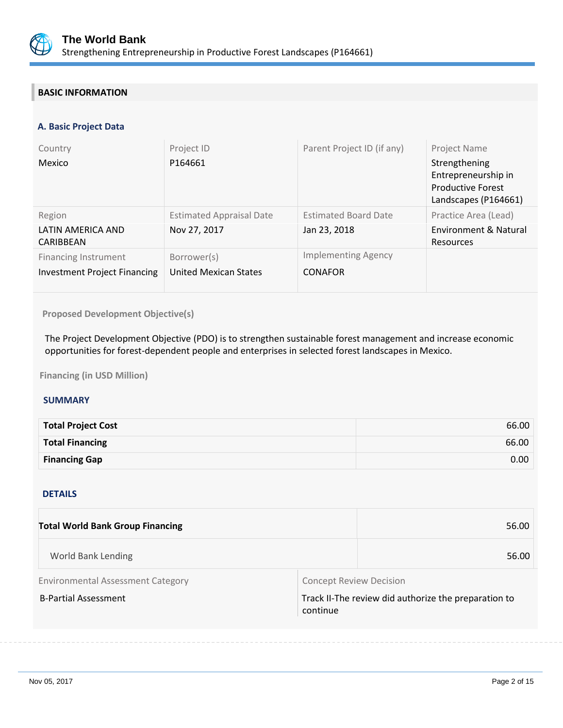

## **BASIC INFORMATION**

## **A. Basic Project Data**

| Country<br>Mexico                                           | Project ID<br>P164661                           | Parent Project ID (if any)                   | Project Name<br>Strengthening<br>Entrepreneurship in<br><b>Productive Forest</b><br>Landscapes (P164661) |
|-------------------------------------------------------------|-------------------------------------------------|----------------------------------------------|----------------------------------------------------------------------------------------------------------|
| Region<br>LATIN AMERICA AND<br>CARIBBEAN                    | <b>Estimated Appraisal Date</b><br>Nov 27, 2017 | <b>Estimated Board Date</b><br>Jan 23, 2018  | Practice Area (Lead)<br>Environment & Natural<br>Resources                                               |
| Financing Instrument<br><b>Investment Project Financing</b> | Borrower(s)<br><b>United Mexican States</b>     | <b>Implementing Agency</b><br><b>CONAFOR</b> |                                                                                                          |

## **Proposed Development Objective(s)**

The Project Development Objective (PDO) is to strengthen sustainable forest management and increase economic opportunities for forest-dependent people and enterprises in selected forest landscapes in Mexico.

**Financing (in USD Million)**

#### **SUMMARY**

| <b>Total Project Cost</b> | 66.00             |
|---------------------------|-------------------|
| <b>Total Financing</b>    | 66.00             |
| <b>Financing Gap</b>      | 0.00 <sub>1</sub> |

## DETAILS

| <b>Total World Bank Group Financing</b>  | 56.00                          |       |
|------------------------------------------|--------------------------------|-------|
| World Bank Lending                       |                                | 56.00 |
| <b>Environmental Assessment Category</b> | <b>Concept Review Decision</b> |       |

B-Partial Assessment **Track II-The review did authorize the preparation to** continue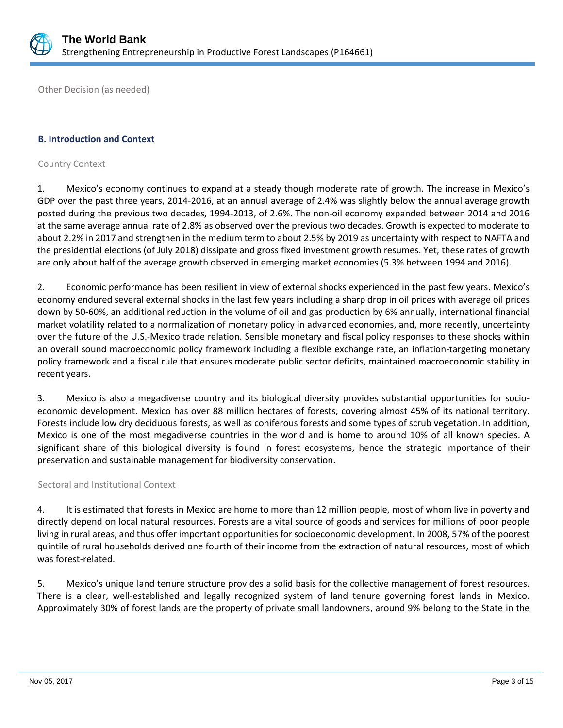

Other Decision (as needed)

#### **B. Introduction and Context**

Country Context

1. Mexico's economy continues to expand at a steady though moderate rate of growth. The increase in Mexico's GDP over the past three years, 2014-2016, at an annual average of 2.4% was slightly below the annual average growth posted during the previous two decades, 1994-2013, of 2.6%. The non-oil economy expanded between 2014 and 2016 at the same average annual rate of 2.8% as observed over the previous two decades. Growth is expected to moderate to about 2.2% in 2017 and strengthen in the medium term to about 2.5% by 2019 as uncertainty with respect to NAFTA and the presidential elections (of July 2018) dissipate and gross fixed investment growth resumes. Yet, these rates of growth are only about half of the average growth observed in emerging market economies (5.3% between 1994 and 2016).

2. Economic performance has been resilient in view of external shocks experienced in the past few years. Mexico's economy endured several external shocks in the last few years including a sharp drop in oil prices with average oil prices down by 50-60%, an additional reduction in the volume of oil and gas production by 6% annually, international financial market volatility related to a normalization of monetary policy in advanced economies, and, more recently, uncertainty over the future of the U.S.-Mexico trade relation. Sensible monetary and fiscal policy responses to these shocks within an overall sound macroeconomic policy framework including a flexible exchange rate, an inflation-targeting monetary policy framework and a fiscal rule that ensures moderate public sector deficits, maintained macroeconomic stability in recent years.

3. Mexico is also a megadiverse country and its biological diversity provides substantial opportunities for socioeconomic development. Mexico has over 88 million hectares of forests, covering almost 45% of its national territory**.** Forests include low dry deciduous forests, as well as coniferous forests and some types of scrub vegetation. In addition, Mexico is one of the most megadiverse countries in the world and is home to around 10% of all known species. A significant share of this biological diversity is found in forest ecosystems, hence the strategic importance of their preservation and sustainable management for biodiversity conservation.

## Sectoral and Institutional Context

4. It is estimated that forests in Mexico are home to more than 12 million people, most of whom live in poverty and directly depend on local natural resources. Forests are a vital source of goods and services for millions of poor people living in rural areas, and thus offer important opportunities for socioeconomic development. In 2008, 57% of the poorest quintile of rural households derived one fourth of their income from the extraction of natural resources, most of which was forest-related.

5. Mexico's unique land tenure structure provides a solid basis for the collective management of forest resources. There is a clear, well-established and legally recognized system of land tenure governing forest lands in Mexico. Approximately 30% of forest lands are the property of private small landowners, around 9% belong to the State in the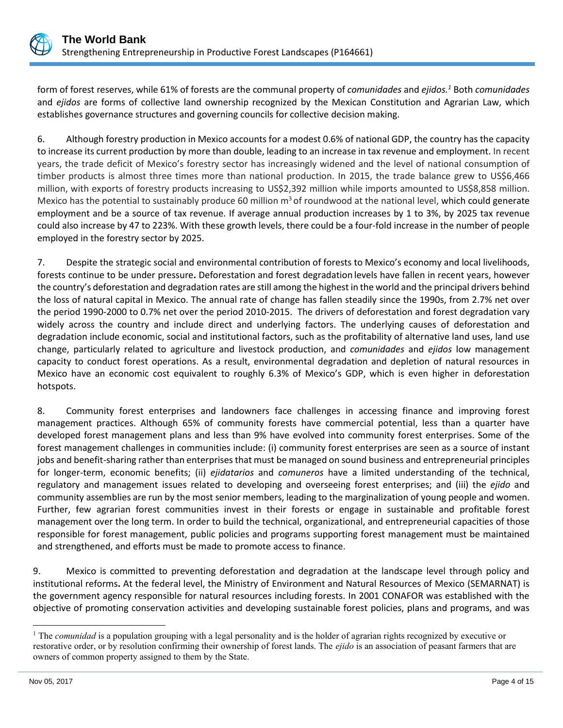

form of forest reserves, while 61% of forests are the communal property of *comunidades* and *ejidos.<sup>1</sup>* Both *comunidades* and *ejidos* are forms of collective land ownership recognized by the Mexican Constitution and Agrarian Law, which establishes governance structures and governing councils for collective decision making.

6. Although forestry production in Mexico accounts for a modest 0.6% of national GDP, the country has the capacity to increase its current production by more than double, leading to an increase in tax revenue and employment. In recent years, the trade deficit of Mexico's forestry sector has increasingly widened and the level of national consumption of timber products is almost three times more than national production. In 2015, the trade balance grew to US\$6,466 million, with exports of forestry products increasing to US\$2,392 million while imports amounted to US\$8,858 million. Mexico has the potential to sustainably produce 60 million  $m<sup>3</sup>$  of roundwood at the national level, which could generate employment and be a source of tax revenue. If average annual production increases by 1 to 3%, by 2025 tax revenue could also increase by 47 to 223%. With these growth levels, there could be a four-fold increase in the number of people employed in the forestry sector by 2025.

7. Despite the strategic social and environmental contribution of forests to Mexico's economy and local livelihoods, forests continue to be under pressure**.** Deforestation and forest degradation levels have fallen in recent years, however the country's deforestation and degradation rates are still among the highest in the world and the principal drivers behind the loss of natural capital in Mexico. The annual rate of change has fallen steadily since the 1990s, from 2.7% net over the period 1990-2000 to 0.7% net over the period 2010-2015. The drivers of deforestation and forest degradation vary widely across the country and include direct and underlying factors. The underlying causes of deforestation and degradation include economic, social and institutional factors, such as the profitability of alternative land uses, land use change, particularly related to agriculture and livestock production, and *comunidades* and *ejidos* low management capacity to conduct forest operations. As a result, environmental degradation and depletion of natural resources in Mexico have an economic cost equivalent to roughly 6.3% of Mexico's GDP, which is even higher in deforestation hotspots.

8. Community forest enterprises and landowners face challenges in accessing finance and improving forest management practices. Although 65% of community forests have commercial potential, less than a quarter have developed forest management plans and less than 9% have evolved into community forest enterprises. Some of the forest management challenges in communities include: (i) community forest enterprises are seen as a source of instant jobs and benefit-sharing rather than enterprises that must be managed on sound business and entrepreneurial principles for longer-term, economic benefits; (ii) *ejidatarios* and *comuneros* have a limited understanding of the technical, regulatory and management issues related to developing and overseeing forest enterprises; and (iii) the *ejido* and community assemblies are run by the most senior members, leading to the marginalization of young people and women. Further, few agrarian forest communities invest in their forests or engage in sustainable and profitable forest management over the long term. In order to build the technical, organizational, and entrepreneurial capacities of those responsible for forest management, public policies and programs supporting forest management must be maintained and strengthened, and efforts must be made to promote access to finance.

9. Mexico is committed to preventing deforestation and degradation at the landscape level through policy and institutional reforms**.** At the federal level, the Ministry of Environment and Natural Resources of Mexico (SEMARNAT) is the government agency responsible for natural resources including forests. In 2001 CONAFOR was established with the objective of promoting conservation activities and developing sustainable forest policies, plans and programs, and was

<sup>&</sup>lt;sup>1</sup> The *comunidad* is a population grouping with a legal personality and is the holder of agrarian rights recognized by executive or restorative order, or by resolution confirming their ownership of forest lands. The *ejido* is an association of peasant farmers that are owners of common property assigned to them by the State.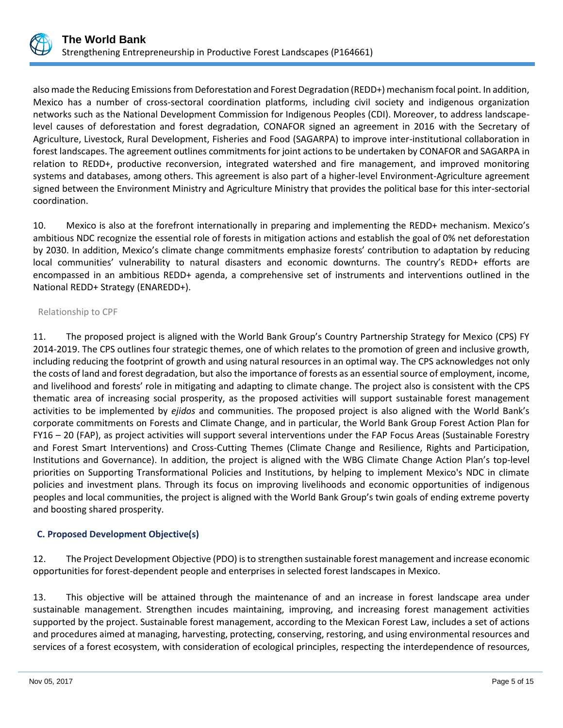

also made the Reducing Emissions from Deforestation and Forest Degradation (REDD+) mechanism focal point. In addition, Mexico has a number of cross-sectoral coordination platforms, including civil society and indigenous organization networks such as the National Development Commission for Indigenous Peoples (CDI). Moreover, to address landscapelevel causes of deforestation and forest degradation, CONAFOR signed an agreement in 2016 with the Secretary of Agriculture, Livestock, Rural Development, Fisheries and Food (SAGARPA) to improve inter-institutional collaboration in forest landscapes. The agreement outlines commitments for joint actions to be undertaken by CONAFOR and SAGARPA in relation to REDD+, productive reconversion, integrated watershed and fire management, and improved monitoring systems and databases, among others. This agreement is also part of a higher-level Environment-Agriculture agreement signed between the Environment Ministry and Agriculture Ministry that provides the political base for this inter-sectorial coordination.

10. Mexico is also at the forefront internationally in preparing and implementing the REDD+ mechanism. Mexico's ambitious NDC recognize the essential role of forests in mitigation actions and establish the goal of 0% net deforestation by 2030. In addition, Mexico's climate change commitments emphasize forests' contribution to adaptation by reducing local communities' vulnerability to natural disasters and economic downturns. The country's REDD+ efforts are encompassed in an ambitious REDD+ agenda, a comprehensive set of instruments and interventions outlined in the National REDD+ Strategy (ENAREDD+).

## Relationship to CPF

11. The proposed project is aligned with the World Bank Group's Country Partnership Strategy for Mexico (CPS) FY 2014-2019. The CPS outlines four strategic themes, one of which relates to the promotion of green and inclusive growth, including reducing the footprint of growth and using natural resources in an optimal way. The CPS acknowledges not only the costs of land and forest degradation, but also the importance of forests as an essential source of employment, income, and livelihood and forests' role in mitigating and adapting to climate change. The project also is consistent with the CPS thematic area of increasing social prosperity, as the proposed activities will support sustainable forest management activities to be implemented by *ejidos* and communities. The proposed project is also aligned with the World Bank's corporate commitments on Forests and Climate Change, and in particular, the World Bank Group Forest Action Plan for FY16 – 20 (FAP), as project activities will support several interventions under the FAP Focus Areas (Sustainable Forestry and Forest Smart Interventions) and Cross-Cutting Themes (Climate Change and Resilience, Rights and Participation, Institutions and Governance). In addition, the project is aligned with the WBG Climate Change Action Plan's top-level priorities on Supporting Transformational Policies and Institutions, by helping to implement Mexico's NDC in climate policies and investment plans. Through its focus on improving livelihoods and economic opportunities of indigenous peoples and local communities, the project is aligned with the World Bank Group's twin goals of ending extreme poverty and boosting shared prosperity.

## **C. Proposed Development Objective(s)**

12. The Project Development Objective (PDO) is to strengthen sustainable forest management and increase economic opportunities for forest-dependent people and enterprises in selected forest landscapes in Mexico.

13. This objective will be attained through the maintenance of and an increase in forest landscape area under sustainable management. Strengthen incudes maintaining, improving, and increasing forest management activities supported by the project. Sustainable forest management, according to the Mexican Forest Law, includes a set of actions and procedures aimed at managing, harvesting, protecting, conserving, restoring, and using environmental resources and services of a forest ecosystem, with consideration of ecological principles, respecting the interdependence of resources,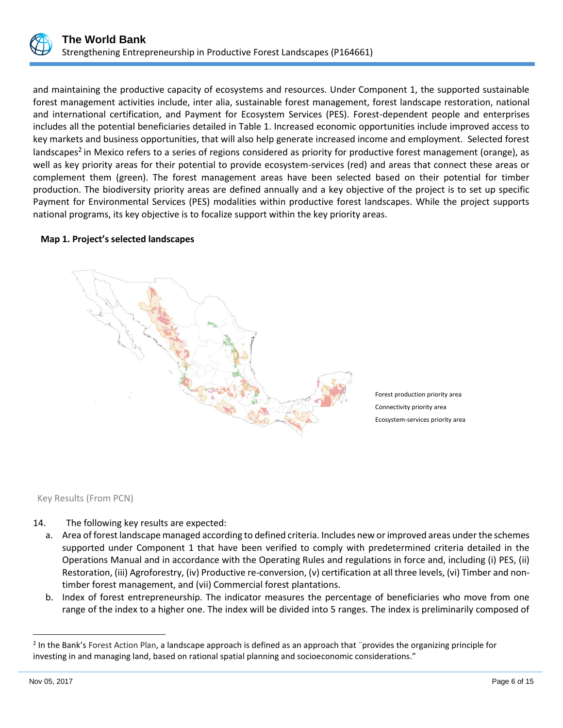

and maintaining the productive capacity of ecosystems and resources. Under Component 1, the supported sustainable forest management activities include, inter alia, sustainable forest management, forest landscape restoration, national and international certification, and Payment for Ecosystem Services (PES). Forest-dependent people and enterprises includes all the potential beneficiaries detailed in Table 1. Increased economic opportunities include improved access to key markets and business opportunities, that will also help generate increased income and employment. Selected forest landscapes<sup>2</sup> in Mexico refers to a series of regions considered as priority for productive forest management (orange), as well as key priority areas for their potential to provide ecosystem-services (red) and areas that connect these areas or complement them (green). The forest management areas have been selected based on their potential for timber production. The biodiversity priority areas are defined annually and a key objective of the project is to set up specific Payment for Environmental Services (PES) modalities within productive forest landscapes. While the project supports national programs, its key objective is to focalize support within the key priority areas.

## **Map 1. Project's selected landscapes**



Forest production priority area Connectivity priority area Ecosystem-services priority area

Key Results (From PCN)

- 14. The following key results are expected:
	- a. Area of forest landscape managed according to defined criteria. Includes new or improved areas under the schemes supported under Component 1 that have been verified to comply with predetermined criteria detailed in the Operations Manual and in accordance with the Operating Rules and regulations in force and, including (i) PES, (ii) Restoration, (iii) Agroforestry, (iv) Productive re-conversion, (v) certification at all three levels, (vi) Timber and nontimber forest management, and (vii) Commercial forest plantations.
	- b. Index of forest entrepreneurship. The indicator measures the percentage of beneficiaries who move from one range of the index to a higher one. The index will be divided into 5 ranges. The index is preliminarily composed of

<sup>&</sup>lt;sup>2</sup> In the Bank's Forest Action Plan, a landscape approach is defined as an approach that "provides the organizing principle for investing in and managing land, based on rational spatial planning and socioeconomic considerations."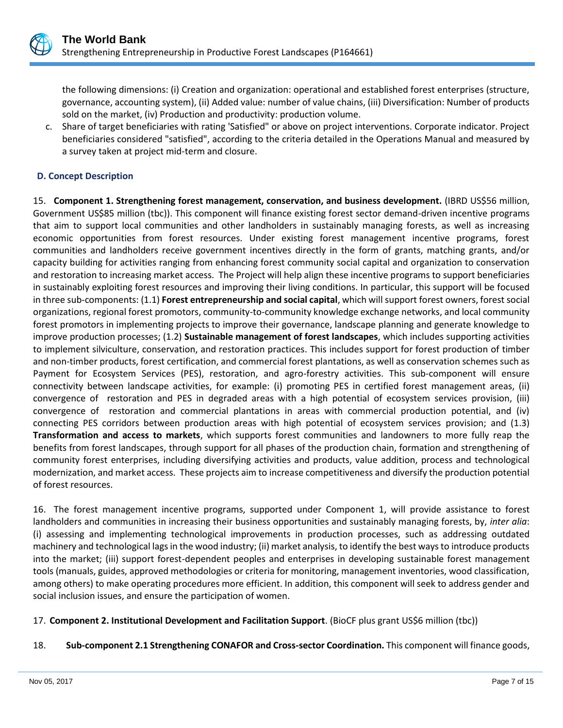

the following dimensions: (i) Creation and organization: operational and established forest enterprises (structure, governance, accounting system), (ii) Added value: number of value chains, (iii) Diversification: Number of products sold on the market, (iv) Production and productivity: production volume.

c. Share of target beneficiaries with rating 'Satisfied" or above on project interventions. Corporate indicator. Project beneficiaries considered "satisfied", according to the criteria detailed in the Operations Manual and measured by a survey taken at project mid-term and closure.

## **D. Concept Description**

15. **Component 1. Strengthening forest management, conservation, and business development.** (IBRD US\$56 million, Government US\$85 million (tbc)). This component will finance existing forest sector demand-driven incentive programs that aim to support local communities and other landholders in sustainably managing forests, as well as increasing economic opportunities from forest resources. Under existing forest management incentive programs, forest communities and landholders receive government incentives directly in the form of grants, matching grants, and/or capacity building for activities ranging from enhancing forest community social capital and organization to conservation and restoration to increasing market access. The Project will help align these incentive programs to support beneficiaries in sustainably exploiting forest resources and improving their living conditions. In particular, this support will be focused in three sub-components: (1.1) **Forest entrepreneurship and social capital**, which will support forest owners, forest social organizations, regional forest promotors, community-to-community knowledge exchange networks, and local community forest promotors in implementing projects to improve their governance, landscape planning and generate knowledge to improve production processes; (1.2) **Sustainable management of forest landscapes**, which includes supporting activities to implement silviculture, conservation, and restoration practices. This includes support for forest production of timber and non-timber products, forest certification, and commercial forest plantations, as well as conservation schemes such as Payment for Ecosystem Services (PES), restoration, and agro-forestry activities. This sub-component will ensure connectivity between landscape activities, for example: (i) promoting PES in certified forest management areas, (ii) convergence of restoration and PES in degraded areas with a high potential of ecosystem services provision, (iii) convergence of restoration and commercial plantations in areas with commercial production potential, and (iv) connecting PES corridors between production areas with high potential of ecosystem services provision; and (1.3) **Transformation and access to markets**, which supports forest communities and landowners to more fully reap the benefits from forest landscapes, through support for all phases of the production chain, formation and strengthening of community forest enterprises, including diversifying activities and products, value addition, process and technological modernization, and market access. These projects aim to increase competitiveness and diversify the production potential of forest resources.

16. The forest management incentive programs, supported under Component 1, will provide assistance to forest landholders and communities in increasing their business opportunities and sustainably managing forests, by, *inter alia*: (i) assessing and implementing technological improvements in production processes, such as addressing outdated machinery and technological lags in the wood industry; (ii) market analysis, to identify the best ways to introduce products into the market; (iii) support forest-dependent peoples and enterprises in developing sustainable forest management tools (manuals, guides, approved methodologies or criteria for monitoring, management inventories, wood classification, among others) to make operating procedures more efficient. In addition, this component will seek to address gender and social inclusion issues, and ensure the participation of women.

17. **Component 2. Institutional Development and Facilitation Support**. (BioCF plus grant US\$6 million (tbc))

18. **Sub-component 2.1 Strengthening CONAFOR and Cross-sector Coordination.** This component will finance goods,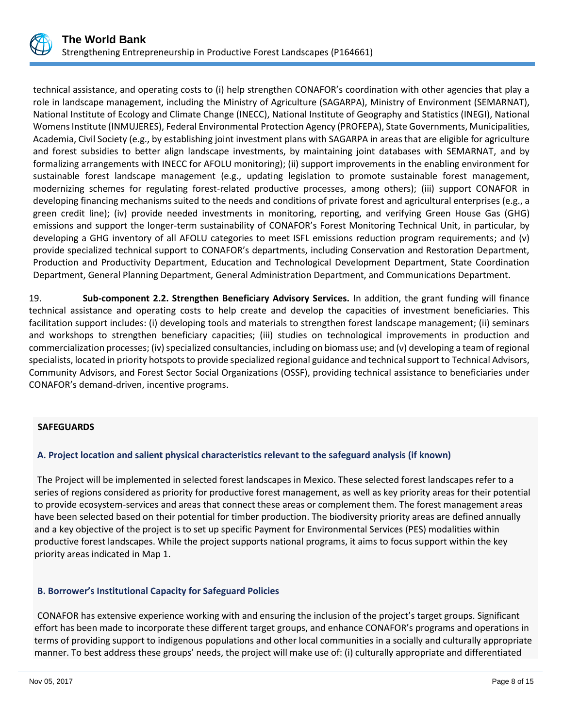

technical assistance, and operating costs to (i) help strengthen CONAFOR's coordination with other agencies that play a role in landscape management, including the Ministry of Agriculture (SAGARPA), Ministry of Environment (SEMARNAT), National Institute of Ecology and Climate Change (INECC), National Institute of Geography and Statistics (INEGI), National Womens Institute (INMUJERES), Federal Environmental Protection Agency (PROFEPA), State Governments, Municipalities, Academia, Civil Society (e.g., by establishing joint investment plans with SAGARPA in areas that are eligible for agriculture and forest subsidies to better align landscape investments, by maintaining joint databases with SEMARNAT, and by formalizing arrangements with INECC for AFOLU monitoring); (ii) support improvements in the enabling environment for sustainable forest landscape management (e.g., updating legislation to promote sustainable forest management, modernizing schemes for regulating forest-related productive processes, among others); (iii) support CONAFOR in developing financing mechanisms suited to the needs and conditions of private forest and agricultural enterprises (e.g., a green credit line); (iv) provide needed investments in monitoring, reporting, and verifying Green House Gas (GHG) emissions and support the longer-term sustainability of CONAFOR's Forest Monitoring Technical Unit, in particular, by developing a GHG inventory of all AFOLU categories to meet ISFL emissions reduction program requirements; and (v) provide specialized technical support to CONAFOR's departments, including Conservation and Restoration Department, Production and Productivity Department, Education and Technological Development Department, State Coordination Department, General Planning Department, General Administration Department, and Communications Department.

19. **Sub-component 2.2. Strengthen Beneficiary Advisory Services.** In addition, the grant funding will finance technical assistance and operating costs to help create and develop the capacities of investment beneficiaries. This facilitation support includes: (i) developing tools and materials to strengthen forest landscape management; (ii) seminars and workshops to strengthen beneficiary capacities; (iii) studies on technological improvements in production and commercialization processes; (iv) specialized consultancies, including on biomass use; and (v) developing a team of regional specialists, located in priority hotspots to provide specialized regional guidance and technical support to Technical Advisors, Community Advisors, and Forest Sector Social Organizations (OSSF), providing technical assistance to beneficiaries under CONAFOR's demand-driven, incentive programs.

## **SAFEGUARDS**

## **A. Project location and salient physical characteristics relevant to the safeguard analysis (if known)**

The Project will be implemented in selected forest landscapes in Mexico. These selected forest landscapes refer to a series of regions considered as priority for productive forest management, as well as key priority areas for their potential to provide ecosystem-services and areas that connect these areas or complement them. The forest management areas have been selected based on their potential for timber production. The biodiversity priority areas are defined annually and a key objective of the project is to set up specific Payment for Environmental Services (PES) modalities within productive forest landscapes. While the project supports national programs, it aims to focus support within the key priority areas indicated in Map 1.

## **B. Borrower's Institutional Capacity for Safeguard Policies**

CONAFOR has extensive experience working with and ensuring the inclusion of the project's target groups. Significant effort has been made to incorporate these different target groups, and enhance CONAFOR's programs and operations in terms of providing support to indigenous populations and other local communities in a socially and culturally appropriate manner. To best address these groups' needs, the project will make use of: (i) culturally appropriate and differentiated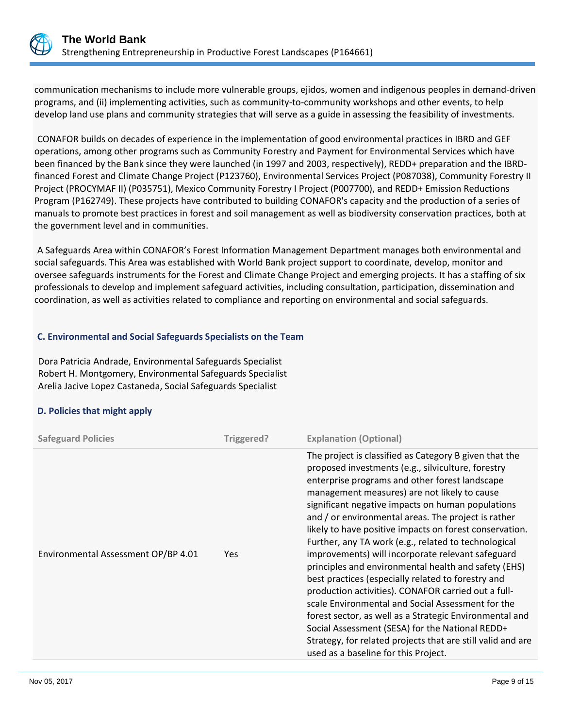

communication mechanisms to include more vulnerable groups, ejidos, women and indigenous peoples in demand-driven programs, and (ii) implementing activities, such as community-to-community workshops and other events, to help develop land use plans and community strategies that will serve as a guide in assessing the feasibility of investments.

CONAFOR builds on decades of experience in the implementation of good environmental practices in IBRD and GEF operations, among other programs such as Community Forestry and Payment for Environmental Services which have been financed by the Bank since they were launched (in 1997 and 2003, respectively), REDD+ preparation and the IBRDfinanced Forest and Climate Change Project (P123760), Environmental Services Project (P087038), Community Forestry II Project (PROCYMAF II) (P035751), Mexico Community Forestry I Project (P007700), and REDD+ Emission Reductions Program (P162749). These projects have contributed to building CONAFOR's capacity and the production of a series of manuals to promote best practices in forest and soil management as well as biodiversity conservation practices, both at the government level and in communities.

A Safeguards Area within CONAFOR's Forest Information Management Department manages both environmental and social safeguards. This Area was established with World Bank project support to coordinate, develop, monitor and oversee safeguards instruments for the Forest and Climate Change Project and emerging projects. It has a staffing of six professionals to develop and implement safeguard activities, including consultation, participation, dissemination and coordination, as well as activities related to compliance and reporting on environmental and social safeguards.

## **C. Environmental and Social Safeguards Specialists on the Team**

Dora Patricia Andrade, Environmental Safeguards Specialist Robert H. Montgomery, Environmental Safeguards Specialist Arelia Jacive Lopez Castaneda, Social Safeguards Specialist

## **D. Policies that might apply**

| <b>Safeguard Policies</b>           | Triggered? | <b>Explanation (Optional)</b>                                                                                                                                                                                                                                                                                                                                                                                                                                                                                                                                                                                                                                                                                                                                                                                                                                                                                                                     |
|-------------------------------------|------------|---------------------------------------------------------------------------------------------------------------------------------------------------------------------------------------------------------------------------------------------------------------------------------------------------------------------------------------------------------------------------------------------------------------------------------------------------------------------------------------------------------------------------------------------------------------------------------------------------------------------------------------------------------------------------------------------------------------------------------------------------------------------------------------------------------------------------------------------------------------------------------------------------------------------------------------------------|
| Environmental Assessment OP/BP 4.01 | Yes        | The project is classified as Category B given that the<br>proposed investments (e.g., silviculture, forestry<br>enterprise programs and other forest landscape<br>management measures) are not likely to cause<br>significant negative impacts on human populations<br>and / or environmental areas. The project is rather<br>likely to have positive impacts on forest conservation.<br>Further, any TA work (e.g., related to technological<br>improvements) will incorporate relevant safeguard<br>principles and environmental health and safety (EHS)<br>best practices (especially related to forestry and<br>production activities). CONAFOR carried out a full-<br>scale Environmental and Social Assessment for the<br>forest sector, as well as a Strategic Environmental and<br>Social Assessment (SESA) for the National REDD+<br>Strategy, for related projects that are still valid and are<br>used as a baseline for this Project. |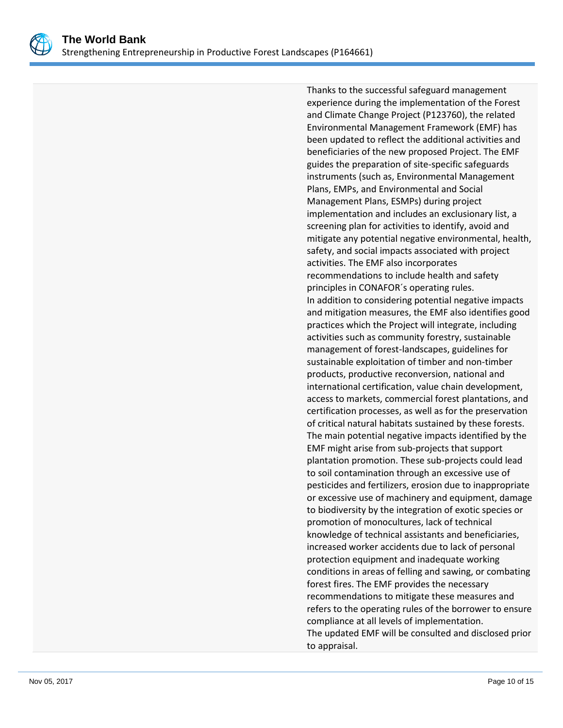

Thanks to the successful safeguard management experience during the implementation of the Forest and Climate Change Project (P123760), the related Environmental Management Framework (EMF) has been updated to reflect the additional activities and beneficiaries of the new proposed Project. The EMF guides the preparation of site-specific safeguards instruments (such as, Environmental Management Plans, EMPs, and Environmental and Social Management Plans, ESMPs) during project implementation and includes an exclusionary list, a screening plan for activities to identify, avoid and mitigate any potential negative environmental, health, safety, and social impacts associated with project activities. The EMF also incorporates recommendations to include health and safety principles in CONAFOR´s operating rules. In addition to considering potential negative impacts and mitigation measures, the EMF also identifies good practices which the Project will integrate, including activities such as community forestry, sustainable management of forest-landscapes, guidelines for sustainable exploitation of timber and non-timber products, productive reconversion, national and international certification, value chain development, access to markets, commercial forest plantations, and certification processes, as well as for the preservation of critical natural habitats sustained by these forests. The main potential negative impacts identified by the EMF might arise from sub-projects that support plantation promotion. These sub-projects could lead to soil contamination through an excessive use of pesticides and fertilizers, erosion due to inappropriate or excessive use of machinery and equipment, damage to biodiversity by the integration of exotic species or promotion of monocultures, lack of technical knowledge of technical assistants and beneficiaries, increased worker accidents due to lack of personal protection equipment and inadequate working conditions in areas of felling and sawing, or combating forest fires. The EMF provides the necessary recommendations to mitigate these measures and refers to the operating rules of the borrower to ensure compliance at all levels of implementation. The updated EMF will be consulted and disclosed prior to appraisal.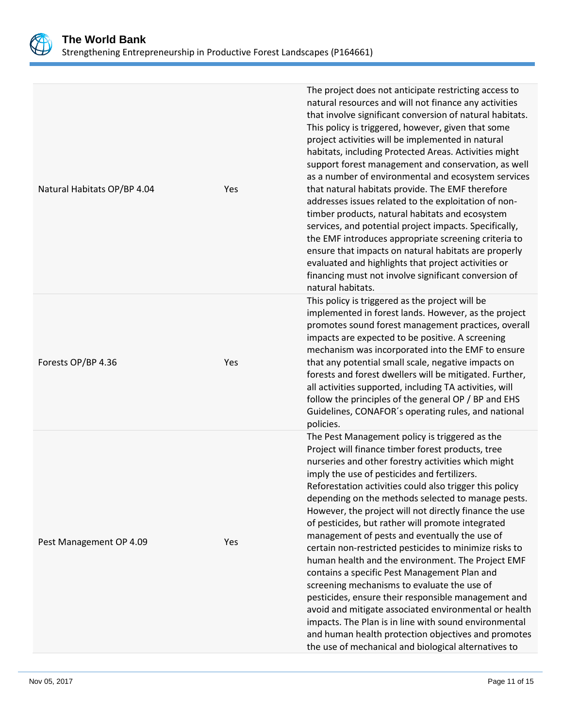

| Natural Habitats OP/BP 4.04 | Yes | The project does not anticipate restricting access to<br>natural resources and will not finance any activities<br>that involve significant conversion of natural habitats.<br>This policy is triggered, however, given that some<br>project activities will be implemented in natural<br>habitats, including Protected Areas. Activities might<br>support forest management and conservation, as well<br>as a number of environmental and ecosystem services<br>that natural habitats provide. The EMF therefore<br>addresses issues related to the exploitation of non-<br>timber products, natural habitats and ecosystem<br>services, and potential project impacts. Specifically,<br>the EMF introduces appropriate screening criteria to<br>ensure that impacts on natural habitats are properly<br>evaluated and highlights that project activities or<br>financing must not involve significant conversion of<br>natural habitats.                                                         |
|-----------------------------|-----|---------------------------------------------------------------------------------------------------------------------------------------------------------------------------------------------------------------------------------------------------------------------------------------------------------------------------------------------------------------------------------------------------------------------------------------------------------------------------------------------------------------------------------------------------------------------------------------------------------------------------------------------------------------------------------------------------------------------------------------------------------------------------------------------------------------------------------------------------------------------------------------------------------------------------------------------------------------------------------------------------|
| Forests OP/BP 4.36          | Yes | This policy is triggered as the project will be<br>implemented in forest lands. However, as the project<br>promotes sound forest management practices, overall<br>impacts are expected to be positive. A screening<br>mechanism was incorporated into the EMF to ensure<br>that any potential small scale, negative impacts on<br>forests and forest dwellers will be mitigated. Further,<br>all activities supported, including TA activities, will<br>follow the principles of the general OP / BP and EHS<br>Guidelines, CONAFOR's operating rules, and national<br>policies.                                                                                                                                                                                                                                                                                                                                                                                                                  |
| Pest Management OP 4.09     | Yes | The Pest Management policy is triggered as the<br>Project will finance timber forest products, tree<br>nurseries and other forestry activities which might<br>imply the use of pesticides and fertilizers.<br>Reforestation activities could also trigger this policy<br>depending on the methods selected to manage pests.<br>However, the project will not directly finance the use<br>of pesticides, but rather will promote integrated<br>management of pests and eventually the use of<br>certain non-restricted pesticides to minimize risks to<br>human health and the environment. The Project EMF<br>contains a specific Pest Management Plan and<br>screening mechanisms to evaluate the use of<br>pesticides, ensure their responsible management and<br>avoid and mitigate associated environmental or health<br>impacts. The Plan is in line with sound environmental<br>and human health protection objectives and promotes<br>the use of mechanical and biological alternatives to |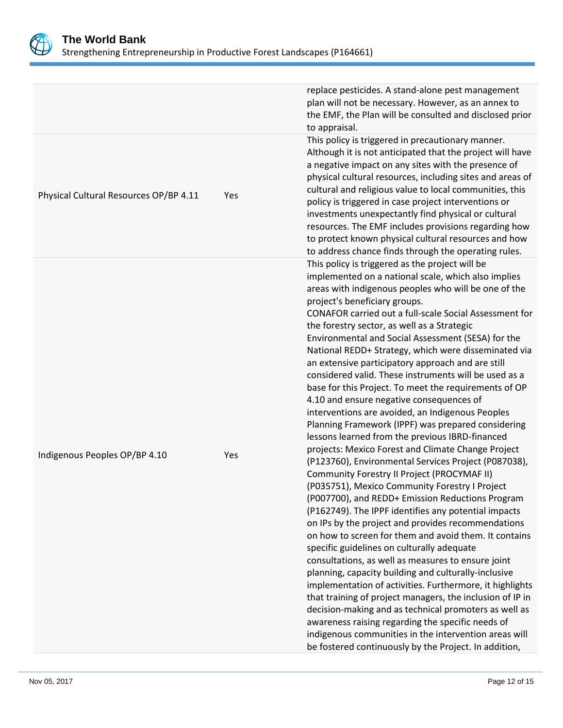

|                                        |     | replace pesticides. A stand-alone pest management<br>plan will not be necessary. However, as an annex to<br>the EMF, the Plan will be consulted and disclosed prior<br>to appraisal.                                                                                                                                                                                                                                                                                                                                                                                                                                                                                                                                                                                                                                                                                                                                                                                                                                                                                                                                                                                                                                                                                                                                                                                                                                                                                                                                                                                                                                                                                                                                                                                  |
|----------------------------------------|-----|-----------------------------------------------------------------------------------------------------------------------------------------------------------------------------------------------------------------------------------------------------------------------------------------------------------------------------------------------------------------------------------------------------------------------------------------------------------------------------------------------------------------------------------------------------------------------------------------------------------------------------------------------------------------------------------------------------------------------------------------------------------------------------------------------------------------------------------------------------------------------------------------------------------------------------------------------------------------------------------------------------------------------------------------------------------------------------------------------------------------------------------------------------------------------------------------------------------------------------------------------------------------------------------------------------------------------------------------------------------------------------------------------------------------------------------------------------------------------------------------------------------------------------------------------------------------------------------------------------------------------------------------------------------------------------------------------------------------------------------------------------------------------|
| Physical Cultural Resources OP/BP 4.11 | Yes | This policy is triggered in precautionary manner.<br>Although it is not anticipated that the project will have<br>a negative impact on any sites with the presence of<br>physical cultural resources, including sites and areas of<br>cultural and religious value to local communities, this<br>policy is triggered in case project interventions or<br>investments unexpectantly find physical or cultural<br>resources. The EMF includes provisions regarding how<br>to protect known physical cultural resources and how<br>to address chance finds through the operating rules.                                                                                                                                                                                                                                                                                                                                                                                                                                                                                                                                                                                                                                                                                                                                                                                                                                                                                                                                                                                                                                                                                                                                                                                  |
| Indigenous Peoples OP/BP 4.10          | Yes | This policy is triggered as the project will be<br>implemented on a national scale, which also implies<br>areas with indigenous peoples who will be one of the<br>project's beneficiary groups.<br>CONAFOR carried out a full-scale Social Assessment for<br>the forestry sector, as well as a Strategic<br>Environmental and Social Assessment (SESA) for the<br>National REDD+ Strategy, which were disseminated via<br>an extensive participatory approach and are still<br>considered valid. These instruments will be used as a<br>base for this Project. To meet the requirements of OP<br>4.10 and ensure negative consequences of<br>interventions are avoided, an Indigenous Peoples<br>Planning Framework (IPPF) was prepared considering<br>lessons learned from the previous IBRD-financed<br>projects: Mexico Forest and Climate Change Project<br>(P123760), Environmental Services Project (P087038),<br>Community Forestry II Project (PROCYMAF II)<br>(P035751), Mexico Community Forestry I Project<br>(P007700), and REDD+ Emission Reductions Program<br>(P162749). The IPPF identifies any potential impacts<br>on IPs by the project and provides recommendations<br>on how to screen for them and avoid them. It contains<br>specific guidelines on culturally adequate<br>consultations, as well as measures to ensure joint<br>planning, capacity building and culturally-inclusive<br>implementation of activities. Furthermore, it highlights<br>that training of project managers, the inclusion of IP in<br>decision-making and as technical promoters as well as<br>awareness raising regarding the specific needs of<br>indigenous communities in the intervention areas will<br>be fostered continuously by the Project. In addition, |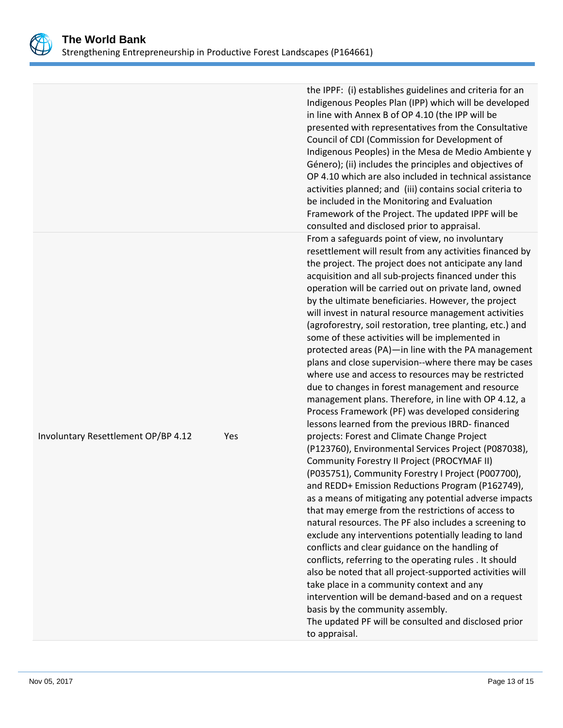

the IPPF: (i) establishes guidelines and criteria for an Indigenous Peoples Plan (IPP) which will be developed in line with Annex B of OP 4.10 (the IPP will be presented with representatives from the Consultative Council of CDI (Commission for Development of Indigenous Peoples) in the Mesa de Medio Ambiente y Género); (ii) includes the principles and objectives of OP 4.10 which are also included in technical assistance activities planned; and (iii) contains social criteria to be included in the Monitoring and Evaluation Framework of the Project. The updated IPPF will be consulted and disclosed prior to appraisal. From a safeguards point of view, no involuntary resettlement will result from any activities financed by the project. The project does not anticipate any land acquisition and all sub-projects financed under this operation will be carried out on private land, owned by the ultimate beneficiaries. However, the project will invest in natural resource management activities (agroforestry, soil restoration, tree planting, etc.) and some of these activities will be implemented in protected areas (PA)—in line with the PA management plans and close supervision--where there may be cases where use and access to resources may be restricted due to changes in forest management and resource management plans. Therefore, in line with OP 4.12, a Process Framework (PF) was developed considering lessons learned from the previous IBRD- financed projects: Forest and Climate Change Project (P123760), Environmental Services Project (P087038), Community Forestry II Project (PROCYMAF II) (P035751), Community Forestry I Project (P007700), and REDD+ Emission Reductions Program (P162749), as a means of mitigating any potential adverse impacts that may emerge from the restrictions of access to natural resources. The PF also includes a screening to exclude any interventions potentially leading to land conflicts and clear guidance on the handling of conflicts, referring to the operating rules . It should also be noted that all project-supported activities will take place in a community context and any intervention will be demand-based and on a request basis by the community assembly. The updated PF will be consulted and disclosed prior to appraisal.

Involuntary Resettlement OP/BP 4.12 Yes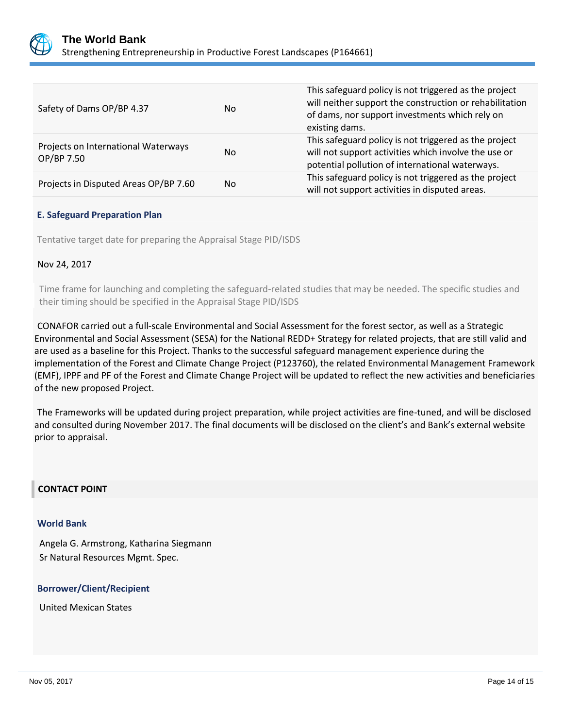

| Safety of Dams OP/BP 4.37                         | N <sub>o</sub> | This safeguard policy is not triggered as the project<br>will neither support the construction or rehabilitation<br>of dams, nor support investments which rely on<br>existing dams. |
|---------------------------------------------------|----------------|--------------------------------------------------------------------------------------------------------------------------------------------------------------------------------------|
| Projects on International Waterways<br>OP/BP 7.50 | N <sub>o</sub> | This safeguard policy is not triggered as the project<br>will not support activities which involve the use or<br>potential pollution of international waterways.                     |
| Projects in Disputed Areas OP/BP 7.60             | No.            | This safeguard policy is not triggered as the project<br>will not support activities in disputed areas.                                                                              |

## **E. Safeguard Preparation Plan**

Tentative target date for preparing the Appraisal Stage PID/ISDS

## Nov 24, 2017

Time frame for launching and completing the safeguard-related studies that may be needed. The specific studies and their timing should be specified in the Appraisal Stage PID/ISDS

CONAFOR carried out a full-scale Environmental and Social Assessment for the forest sector, as well as a Strategic Environmental and Social Assessment (SESA) for the National REDD+ Strategy for related projects, that are still valid and are used as a baseline for this Project. Thanks to the successful safeguard management experience during the implementation of the Forest and Climate Change Project (P123760), the related Environmental Management Framework (EMF), IPPF and PF of the Forest and Climate Change Project will be updated to reflect the new activities and beneficiaries of the new proposed Project.

The Frameworks will be updated during project preparation, while project activities are fine-tuned, and will be disclosed and consulted during November 2017. The final documents will be disclosed on the client's and Bank's external website prior to appraisal.

## **CONTACT POINT**

#### **World Bank**

Angela G. Armstrong, Katharina Siegmann Sr Natural Resources Mgmt. Spec.

## **Borrower/Client/Recipient**

United Mexican States